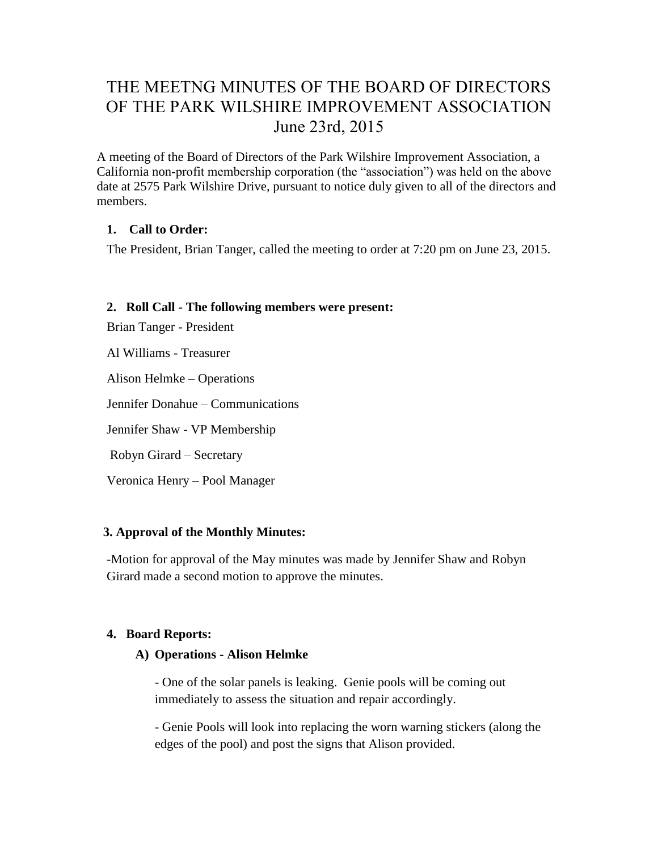# THE MEETNG MINUTES OF THE BOARD OF DIRECTORS OF THE PARK WILSHIRE IMPROVEMENT ASSOCIATION June 23rd, 2015

A meeting of the Board of Directors of the Park Wilshire Improvement Association, a California non-profit membership corporation (the "association") was held on the above date at 2575 Park Wilshire Drive, pursuant to notice duly given to all of the directors and members.

# **1. Call to Order:**

The President, Brian Tanger, called the meeting to order at 7:20 pm on June 23, 2015.

# **2. Roll Call - The following members were present:**

Brian Tanger - President

Al Williams - Treasurer

Alison Helmke – Operations

Jennifer Donahue – Communications

Jennifer Shaw - VP Membership

Robyn Girard – Secretary

Veronica Henry – Pool Manager

# **3. Approval of the Monthly Minutes:**

-Motion for approval of the May minutes was made by Jennifer Shaw and Robyn Girard made a second motion to approve the minutes.

# **4. Board Reports:**

# **A) Operations - Alison Helmke**

- One of the solar panels is leaking. Genie pools will be coming out immediately to assess the situation and repair accordingly.

- Genie Pools will look into replacing the worn warning stickers (along the edges of the pool) and post the signs that Alison provided.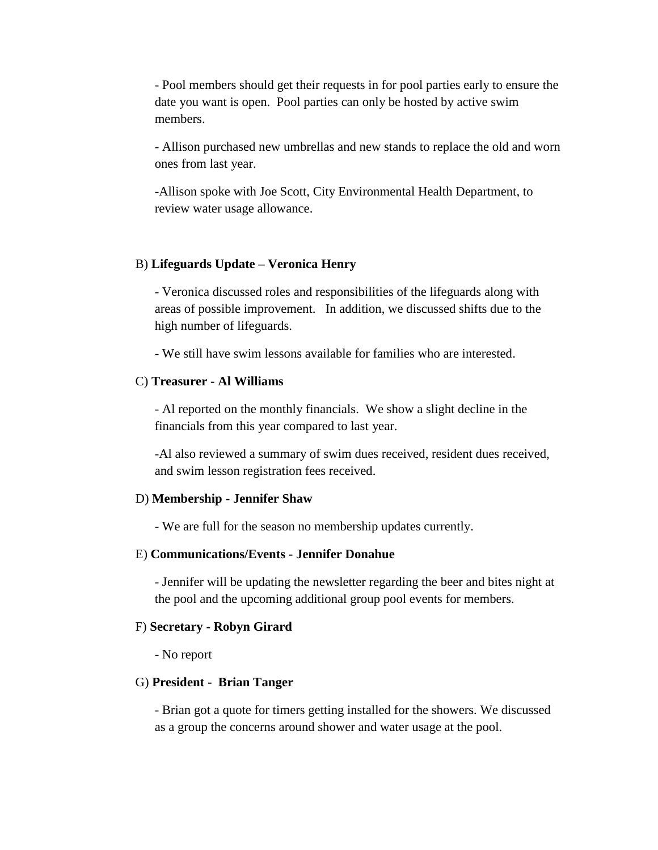- Pool members should get their requests in for pool parties early to ensure the date you want is open. Pool parties can only be hosted by active swim members.

- Allison purchased new umbrellas and new stands to replace the old and worn ones from last year.

-Allison spoke with Joe Scott, City Environmental Health Department, to review water usage allowance.

#### B) **Lifeguards Update – Veronica Henry**

- Veronica discussed roles and responsibilities of the lifeguards along with areas of possible improvement. In addition, we discussed shifts due to the high number of lifeguards.

- We still have swim lessons available for families who are interested.

#### C) **Treasurer - Al Williams**

- Al reported on the monthly financials. We show a slight decline in the financials from this year compared to last year.

-Al also reviewed a summary of swim dues received, resident dues received, and swim lesson registration fees received.

#### D) **Membership - Jennifer Shaw**

- We are full for the season no membership updates currently.

#### E) **Communications/Events - Jennifer Donahue**

- Jennifer will be updating the newsletter regarding the beer and bites night at the pool and the upcoming additional group pool events for members.

#### F) **Secretary - Robyn Girard**

- No report

#### G) **President - Brian Tanger**

- Brian got a quote for timers getting installed for the showers. We discussed as a group the concerns around shower and water usage at the pool.